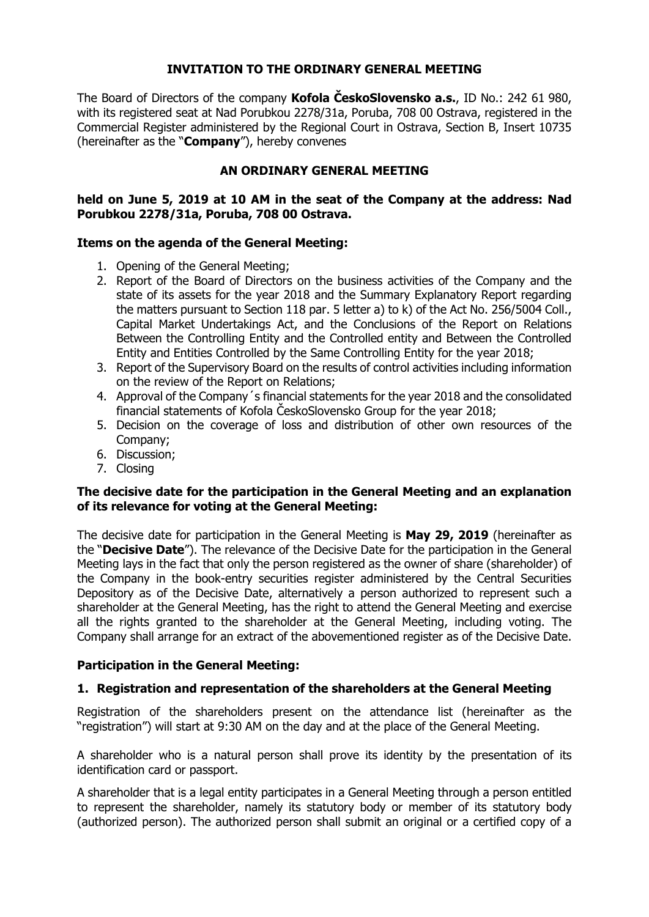# **INVITATION TO THE ORDINARY GENERAL MEETING**

The Board of Directors of the company **Kofola ČeskoSlovensko a.s.**, ID No.: 242 61 980, with its registered seat at Nad Porubkou 2278/31a, Poruba, 708 00 Ostrava, registered in the Commercial Register administered by the Regional Court in Ostrava, Section B, Insert 10735 (hereinafter as the "**Company**"), hereby convenes

## **AN ORDINARY GENERAL MEETING**

## **held on June 5, 2019 at 10 AM in the seat of the Company at the address: Nad Porubkou 2278/31a, Poruba, 708 00 Ostrava.**

### **Items on the agenda of the General Meeting:**

- 1. Opening of the General Meeting;
- 2. Report of the Board of Directors on the business activities of the Company and the state of its assets for the year 2018 and the Summary Explanatory Report regarding the matters pursuant to Section 118 par. 5 letter a) to k) of the Act No. 256/5004 Coll., Capital Market Undertakings Act, and the Conclusions of the Report on Relations Between the Controlling Entity and the Controlled entity and Between the Controlled Entity and Entities Controlled by the Same Controlling Entity for the year 2018;
- 3. Report of the Supervisory Board on the results of control activities including information on the review of the Report on Relations;
- 4. Approval of the Company´s financial statements for the year 2018 and the consolidated financial statements of Kofola ČeskoSlovensko Group for the year 2018;
- 5. Decision on the coverage of loss and distribution of other own resources of the Company;
- 6. Discussion;
- 7. Closing

### **The decisive date for the participation in the General Meeting and an explanation of its relevance for voting at the General Meeting:**

The decisive date for participation in the General Meeting is **May 29, 2019** (hereinafter as the "**Decisive Date**"). The relevance of the Decisive Date for the participation in the General Meeting lays in the fact that only the person registered as the owner of share (shareholder) of the Company in the book-entry securities register administered by the Central Securities Depository as of the Decisive Date, alternatively a person authorized to represent such a shareholder at the General Meeting, has the right to attend the General Meeting and exercise all the rights granted to the shareholder at the General Meeting, including voting. The Company shall arrange for an extract of the abovementioned register as of the Decisive Date.

# **Participation in the General Meeting:**

# **1. Registration and representation of the shareholders at the General Meeting**

Registration of the shareholders present on the attendance list (hereinafter as the "registration") will start at 9:30 AM on the day and at the place of the General Meeting.

A shareholder who is a natural person shall prove its identity by the presentation of its identification card or passport.

A shareholder that is a legal entity participates in a General Meeting through a person entitled to represent the shareholder, namely its statutory body or member of its statutory body (authorized person). The authorized person shall submit an original or a certified copy of a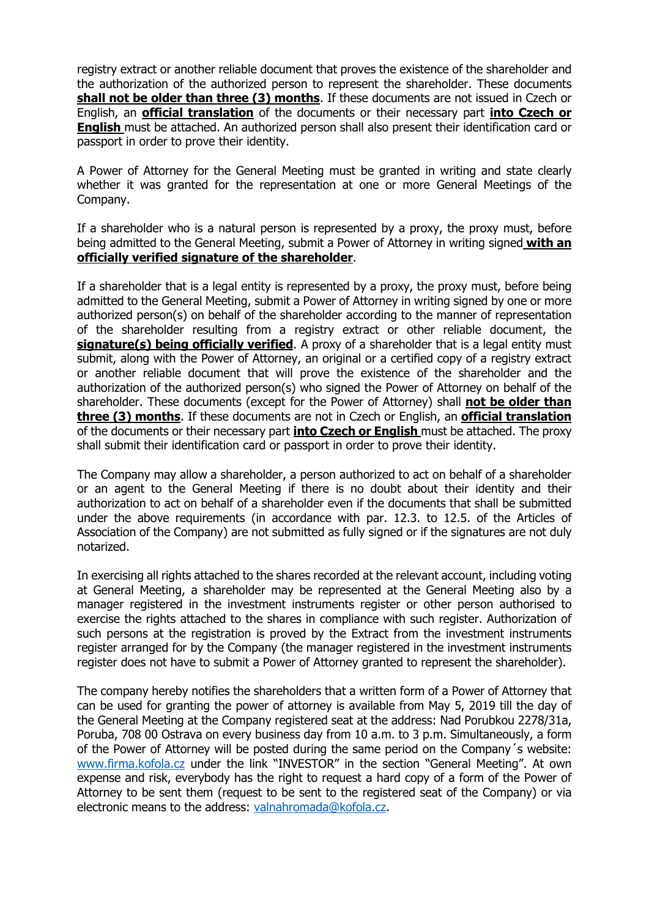registry extract or another reliable document that proves the existence of the shareholder and the authorization of the authorized person to represent the shareholder. These documents **shall not be older than three (3) months**. If these documents are not issued in Czech or English, an **official translation** of the documents or their necessary part **into Czech or English** must be attached. An authorized person shall also present their identification card or passport in order to prove their identity.

A Power of Attorney for the General Meeting must be granted in writing and state clearly whether it was granted for the representation at one or more General Meetings of the Company.

If a shareholder who is a natural person is represented by a proxy, the proxy must, before being admitted to the General Meeting, submit a Power of Attorney in writing signed **with an officially verified signature of the shareholder**.

If a shareholder that is a legal entity is represented by a proxy, the proxy must, before being admitted to the General Meeting, submit a Power of Attorney in writing signed by one or more authorized person(s) on behalf of the shareholder according to the manner of representation of the shareholder resulting from a registry extract or other reliable document, the **signature(s) being officially verified**. A proxy of a shareholder that is a legal entity must submit, along with the Power of Attorney, an original or a certified copy of a registry extract or another reliable document that will prove the existence of the shareholder and the authorization of the authorized person(s) who signed the Power of Attorney on behalf of the shareholder. These documents (except for the Power of Attorney) shall **not be older than three (3) months**. If these documents are not in Czech or English, an **official translation** of the documents or their necessary part **into Czech or English** must be attached. The proxy shall submit their identification card or passport in order to prove their identity.

The Company may allow a shareholder, a person authorized to act on behalf of a shareholder or an agent to the General Meeting if there is no doubt about their identity and their authorization to act on behalf of a shareholder even if the documents that shall be submitted under the above requirements (in accordance with par. 12.3. to 12.5. of the Articles of Association of the Company) are not submitted as fully signed or if the signatures are not duly notarized.

In exercising all rights attached to the shares recorded at the relevant account, including voting at General Meeting, a shareholder may be represented at the General Meeting also by a manager registered in the investment instruments register or other person authorised to exercise the rights attached to the shares in compliance with such register. Authorization of such persons at the registration is proved by the Extract from the investment instruments register arranged for by the Company (the manager registered in the investment instruments register does not have to submit a Power of Attorney granted to represent the shareholder).

The company hereby notifies the shareholders that a written form of a Power of Attorney that can be used for granting the power of attorney is available from May 5, 2019 till the day of the General Meeting at the Company registered seat at the address: Nad Porubkou 2278/31a, Poruba, 708 00 Ostrava on every business day from 10 a.m. to 3 p.m. Simultaneously, a form of the Power of Attorney will be posted during the same period on the Company´s website: [www.firma.kofola.cz](http://www.firma.kofola.cz/) under the link "INVESTOR" in the section "General Meeting". At own expense and risk, everybody has the right to request a hard copy of a form of the Power of Attorney to be sent them (request to be sent to the registered seat of the Company) or via electronic means to the address: [valnahromada@kofola.cz.](mailto:valnahromada@kofola.cz)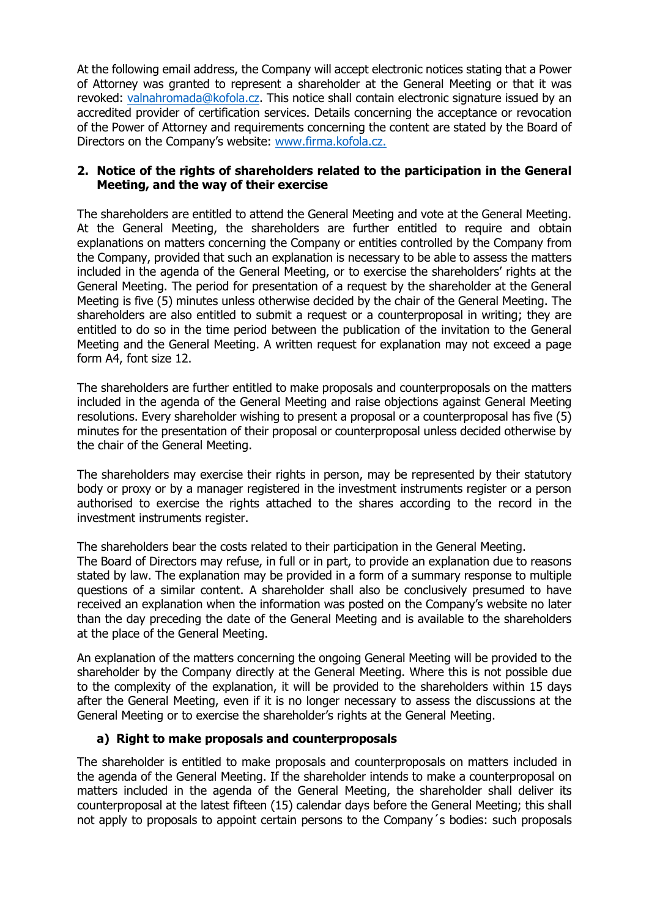At the following email address, the Company will accept electronic notices stating that a Power of Attorney was granted to represent a shareholder at the General Meeting or that it was revoked: [valnahromada@kofola.cz.](mailto:valnahromada@kofola.cz) This notice shall contain electronic signature issued by an accredited provider of certification services. Details concerning the acceptance or revocation of the Power of Attorney and requirements concerning the content are stated by the Board of Directors on the Company's website: [www.firma.kofola.cz.](http://www.firma.kofola.cz/)

# **2. Notice of the rights of shareholders related to the participation in the General Meeting, and the way of their exercise**

The shareholders are entitled to attend the General Meeting and vote at the General Meeting. At the General Meeting, the shareholders are further entitled to require and obtain explanations on matters concerning the Company or entities controlled by the Company from the Company, provided that such an explanation is necessary to be able to assess the matters included in the agenda of the General Meeting, or to exercise the shareholders' rights at the General Meeting. The period for presentation of a request by the shareholder at the General Meeting is five (5) minutes unless otherwise decided by the chair of the General Meeting. The shareholders are also entitled to submit a request or a counterproposal in writing; they are entitled to do so in the time period between the publication of the invitation to the General Meeting and the General Meeting. A written request for explanation may not exceed a page form A4, font size 12.

The shareholders are further entitled to make proposals and counterproposals on the matters included in the agenda of the General Meeting and raise objections against General Meeting resolutions. Every shareholder wishing to present a proposal or a counterproposal has five (5) minutes for the presentation of their proposal or counterproposal unless decided otherwise by the chair of the General Meeting.

The shareholders may exercise their rights in person, may be represented by their statutory body or proxy or by a manager registered in the investment instruments register or a person authorised to exercise the rights attached to the shares according to the record in the investment instruments register.

The shareholders bear the costs related to their participation in the General Meeting.

The Board of Directors may refuse, in full or in part, to provide an explanation due to reasons stated by law. The explanation may be provided in a form of a summary response to multiple questions of a similar content. A shareholder shall also be conclusively presumed to have received an explanation when the information was posted on the Company's website no later than the day preceding the date of the General Meeting and is available to the shareholders at the place of the General Meeting.

An explanation of the matters concerning the ongoing General Meeting will be provided to the shareholder by the Company directly at the General Meeting. Where this is not possible due to the complexity of the explanation, it will be provided to the shareholders within 15 days after the General Meeting, even if it is no longer necessary to assess the discussions at the General Meeting or to exercise the shareholder's rights at the General Meeting.

# **a) Right to make proposals and counterproposals**

The shareholder is entitled to make proposals and counterproposals on matters included in the agenda of the General Meeting. If the shareholder intends to make a counterproposal on matters included in the agenda of the General Meeting, the shareholder shall deliver its counterproposal at the latest fifteen (15) calendar days before the General Meeting; this shall not apply to proposals to appoint certain persons to the Company´s bodies: such proposals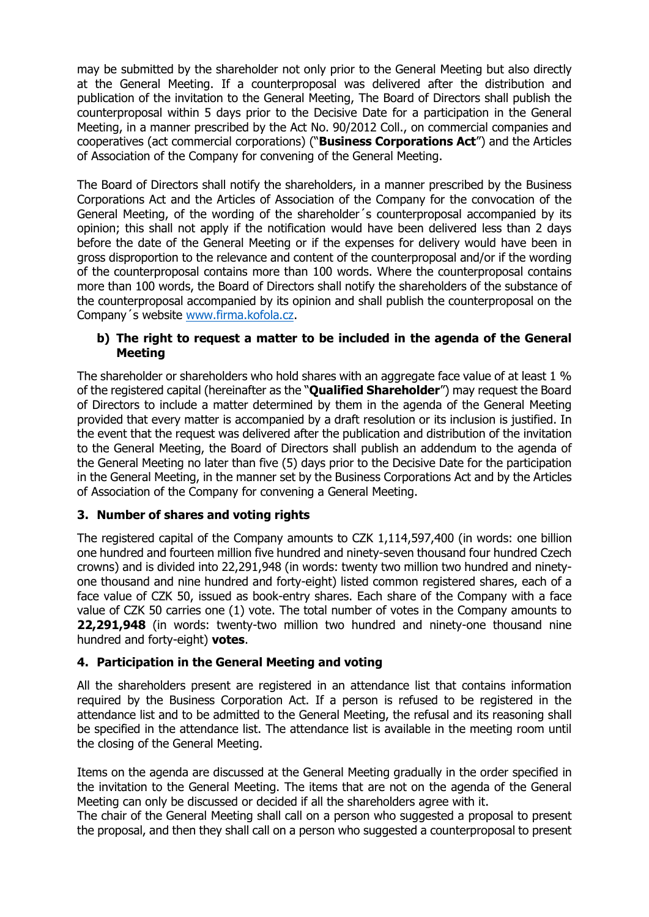may be submitted by the shareholder not only prior to the General Meeting but also directly at the General Meeting. If a counterproposal was delivered after the distribution and publication of the invitation to the General Meeting, The Board of Directors shall publish the counterproposal within 5 days prior to the Decisive Date for a participation in the General Meeting, in a manner prescribed by the Act No. 90/2012 Coll., on commercial companies and cooperatives (act commercial corporations) ("**Business Corporations Act**") and the Articles of Association of the Company for convening of the General Meeting.

The Board of Directors shall notify the shareholders, in a manner prescribed by the Business Corporations Act and the Articles of Association of the Company for the convocation of the General Meeting, of the wording of the shareholder´s counterproposal accompanied by its opinion; this shall not apply if the notification would have been delivered less than 2 days before the date of the General Meeting or if the expenses for delivery would have been in gross disproportion to the relevance and content of the counterproposal and/or if the wording of the counterproposal contains more than 100 words. Where the counterproposal contains more than 100 words, the Board of Directors shall notify the shareholders of the substance of the counterproposal accompanied by its opinion and shall publish the counterproposal on the Company´s website [www.firma.kofola.cz.](http://www.firma.kofola.cz/)

# **b) The right to request a matter to be included in the agenda of the General Meeting**

The shareholder or shareholders who hold shares with an aggregate face value of at least 1 % of the registered capital (hereinafter as the "**Qualified Shareholder**") may request the Board of Directors to include a matter determined by them in the agenda of the General Meeting provided that every matter is accompanied by a draft resolution or its inclusion is justified. In the event that the request was delivered after the publication and distribution of the invitation to the General Meeting, the Board of Directors shall publish an addendum to the agenda of the General Meeting no later than five (5) days prior to the Decisive Date for the participation in the General Meeting, in the manner set by the Business Corporations Act and by the Articles of Association of the Company for convening a General Meeting.

# **3. Number of shares and voting rights**

The registered capital of the Company amounts to CZK 1,114,597,400 (in words: one billion one hundred and fourteen million five hundred and ninety-seven thousand four hundred Czech crowns) and is divided into 22,291,948 (in words: twenty two million two hundred and ninetyone thousand and nine hundred and forty-eight) listed common registered shares, each of a face value of CZK 50, issued as book-entry shares. Each share of the Company with a face value of CZK 50 carries one (1) vote. The total number of votes in the Company amounts to **22,291,948** (in words: twenty-two million two hundred and ninety-one thousand nine hundred and forty-eight) **votes**.

# **4. Participation in the General Meeting and voting**

All the shareholders present are registered in an attendance list that contains information required by the Business Corporation Act. If a person is refused to be registered in the attendance list and to be admitted to the General Meeting, the refusal and its reasoning shall be specified in the attendance list. The attendance list is available in the meeting room until the closing of the General Meeting.

Items on the agenda are discussed at the General Meeting gradually in the order specified in the invitation to the General Meeting. The items that are not on the agenda of the General Meeting can only be discussed or decided if all the shareholders agree with it.

The chair of the General Meeting shall call on a person who suggested a proposal to present the proposal, and then they shall call on a person who suggested a counterproposal to present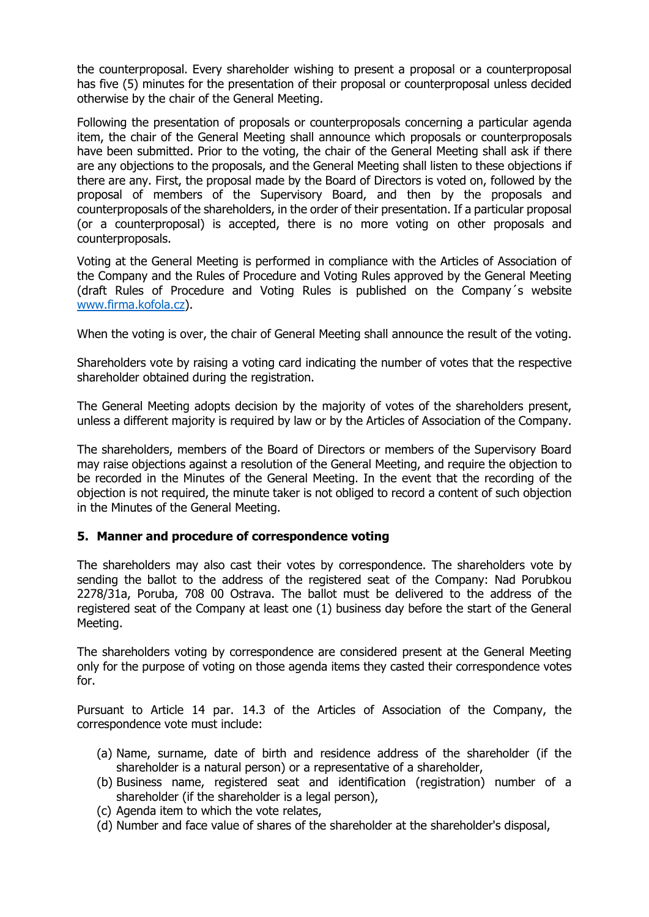the counterproposal. Every shareholder wishing to present a proposal or a counterproposal has five (5) minutes for the presentation of their proposal or counterproposal unless decided otherwise by the chair of the General Meeting.

Following the presentation of proposals or counterproposals concerning a particular agenda item, the chair of the General Meeting shall announce which proposals or counterproposals have been submitted. Prior to the voting, the chair of the General Meeting shall ask if there are any objections to the proposals, and the General Meeting shall listen to these objections if there are any. First, the proposal made by the Board of Directors is voted on, followed by the proposal of members of the Supervisory Board, and then by the proposals and counterproposals of the shareholders, in the order of their presentation. If a particular proposal (or a counterproposal) is accepted, there is no more voting on other proposals and counterproposals.

Voting at the General Meeting is performed in compliance with the Articles of Association of the Company and the Rules of Procedure and Voting Rules approved by the General Meeting (draft Rules of Procedure and Voting Rules is published on the Company´s website [www.firma.kofola.cz\)](http://www.firma.kofola.cz/).

When the voting is over, the chair of General Meeting shall announce the result of the voting.

Shareholders vote by raising a voting card indicating the number of votes that the respective shareholder obtained during the registration.

The General Meeting adopts decision by the majority of votes of the shareholders present, unless a different majority is required by law or by the Articles of Association of the Company.

The shareholders, members of the Board of Directors or members of the Supervisory Board may raise objections against a resolution of the General Meeting, and require the objection to be recorded in the Minutes of the General Meeting. In the event that the recording of the objection is not required, the minute taker is not obliged to record a content of such objection in the Minutes of the General Meeting.

### **5. Manner and procedure of correspondence voting**

The shareholders may also cast their votes by correspondence. The shareholders vote by sending the ballot to the address of the registered seat of the Company: Nad Porubkou 2278/31a, Poruba, 708 00 Ostrava. The ballot must be delivered to the address of the registered seat of the Company at least one (1) business day before the start of the General Meeting.

The shareholders voting by correspondence are considered present at the General Meeting only for the purpose of voting on those agenda items they casted their correspondence votes for.

Pursuant to Article 14 par. 14.3 of the Articles of Association of the Company, the correspondence vote must include:

- (a) Name, surname, date of birth and residence address of the shareholder (if the shareholder is a natural person) or a representative of a shareholder,
- (b) Business name, registered seat and identification (registration) number of a shareholder (if the shareholder is a legal person),
- (c) Agenda item to which the vote relates,
- (d) Number and face value of shares of the shareholder at the shareholder's disposal,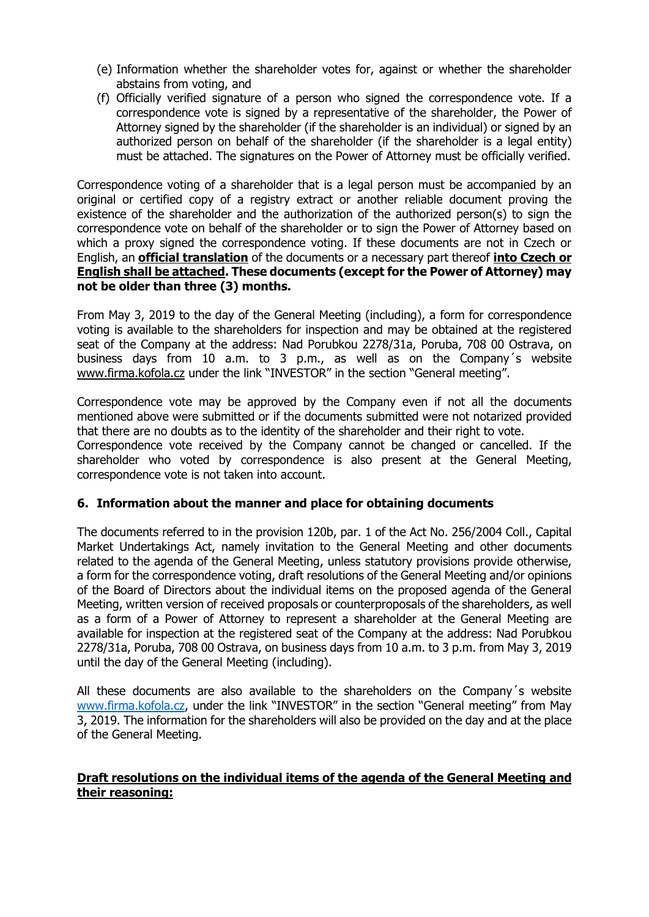- (e) Information whether the shareholder votes for, against or whether the shareholder abstains from voting, and
- (f) Officially verified signature of a person who signed the correspondence vote. If a correspondence vote is signed by a representative of the shareholder, the Power of Attorney signed by the shareholder (if the shareholder is an individual) or signed by an authorized person on behalf of the shareholder (if the shareholder is a legal entity) must be attached. The signatures on the Power of Attorney must be officially verified.

Correspondence voting of a shareholder that is a legal person must be accompanied by an original or certified copy of a registry extract or another reliable document proving the existence of the shareholder and the authorization of the authorized person(s) to sign the correspondence vote on behalf of the shareholder or to sign the Power of Attorney based on which a proxy signed the correspondence voting. If these documents are not in Czech or English, an **official translation** of the documents or a necessary part thereof **into Czech or English shall be attached. These documents (except for the Power of Attorney) may not be older than three (3) months.**

From May 3, 2019 to the day of the General Meeting (including), a form for correspondence voting is available to the shareholders for inspection and may be obtained at the registered seat of the Company at the address: Nad Porubkou 2278/31a, Poruba, 708 00 Ostrava, on business days from 10 a.m. to 3 p.m., as well as on the Company´s website [www.firma.kofola.cz](http://www.firma.kofola.cz/) under the link "INVESTOR" in the section "General meeting".

Correspondence vote may be approved by the Company even if not all the documents mentioned above were submitted or if the documents submitted were not notarized provided that there are no doubts as to the identity of the shareholder and their right to vote.

Correspondence vote received by the Company cannot be changed or cancelled. If the shareholder who voted by correspondence is also present at the General Meeting, correspondence vote is not taken into account.

# **6. Information about the manner and place for obtaining documents**

The documents referred to in the provision 120b, par. 1 of the Act No. 256/2004 Coll., Capital Market Undertakings Act, namely invitation to the General Meeting and other documents related to the agenda of the General Meeting, unless statutory provisions provide otherwise, a form for the correspondence voting, draft resolutions of the General Meeting and/or opinions of the Board of Directors about the individual items on the proposed agenda of the General Meeting, written version of received proposals or counterproposals of the shareholders, as well as a form of a Power of Attorney to represent a shareholder at the General Meeting are available for inspection at the registered seat of the Company at the address: Nad Porubkou 2278/31a, Poruba, 708 00 Ostrava, on business days from 10 a.m. to 3 p.m. from May 3, 2019 until the day of the General Meeting (including).

All these documents are also available to the shareholders on the Company´s website [www.firma.kofola.cz,](http://www.firma.kofola.cz/) under the link "INVESTOR" in the section "General meeting" from May 3, 2019. The information for the shareholders will also be provided on the day and at the place of the General Meeting.

## **Draft resolutions on the individual items of the agenda of the General Meeting and their reasoning:**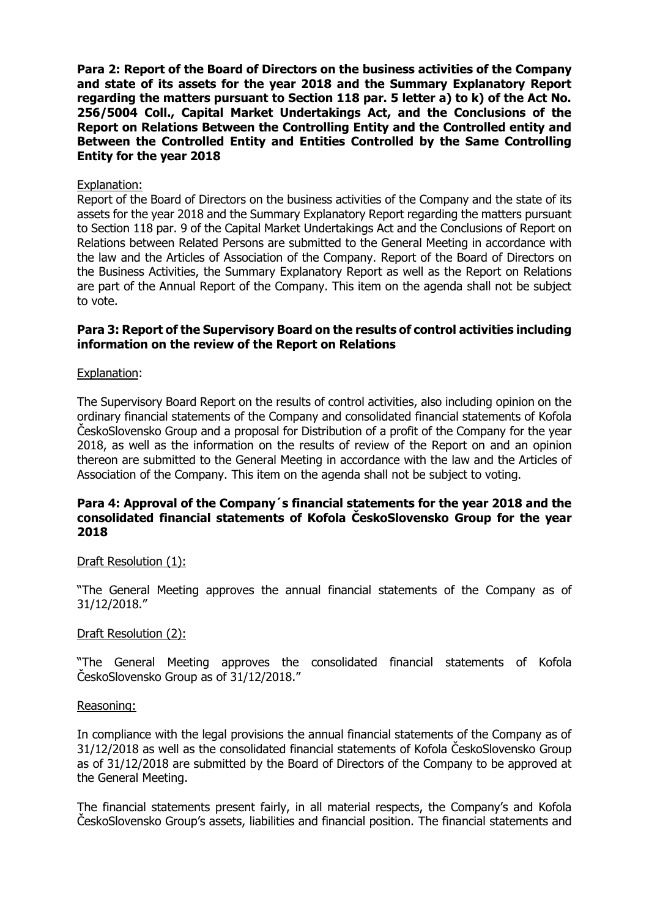**Para 2: Report of the Board of Directors on the business activities of the Company and state of its assets for the year 2018 and the Summary Explanatory Report regarding the matters pursuant to Section 118 par. 5 letter a) to k) of the Act No. 256/5004 Coll., Capital Market Undertakings Act, and the Conclusions of the Report on Relations Between the Controlling Entity and the Controlled entity and Between the Controlled Entity and Entities Controlled by the Same Controlling Entity for the year 2018**

### Explanation:

Report of the Board of Directors on the business activities of the Company and the state of its assets for the year 2018 and the Summary Explanatory Report regarding the matters pursuant to Section 118 par. 9 of the Capital Market Undertakings Act and the Conclusions of Report on Relations between Related Persons are submitted to the General Meeting in accordance with the law and the Articles of Association of the Company. Report of the Board of Directors on the Business Activities, the Summary Explanatory Report as well as the Report on Relations are part of the Annual Report of the Company. This item on the agenda shall not be subject to vote.

### **Para 3: Report of the Supervisory Board on the results of control activities including information on the review of the Report on Relations**

#### Explanation:

The Supervisory Board Report on the results of control activities, also including opinion on the ordinary financial statements of the Company and consolidated financial statements of Kofola ČeskoSlovensko Group and a proposal for Distribution of a profit of the Company for the year 2018, as well as the information on the results of review of the Report on and an opinion thereon are submitted to the General Meeting in accordance with the law and the Articles of Association of the Company. This item on the agenda shall not be subject to voting.

#### **Para 4: Approval of the Company´s financial statements for the year 2018 and the consolidated financial statements of Kofola ČeskoSlovensko Group for the year 2018**

### Draft Resolution (1):

"The General Meeting approves the annual financial statements of the Company as of 31/12/2018."

### Draft Resolution (2):

"The General Meeting approves the consolidated financial statements of Kofola ČeskoSlovensko Group as of 31/12/2018."

#### Reasoning:

In compliance with the legal provisions the annual financial statements of the Company as of 31/12/2018 as well as the consolidated financial statements of Kofola ČeskoSlovensko Group as of 31/12/2018 are submitted by the Board of Directors of the Company to be approved at the General Meeting.

The financial statements present fairly, in all material respects, the Company's and Kofola ČeskoSlovensko Group's assets, liabilities and financial position. The financial statements and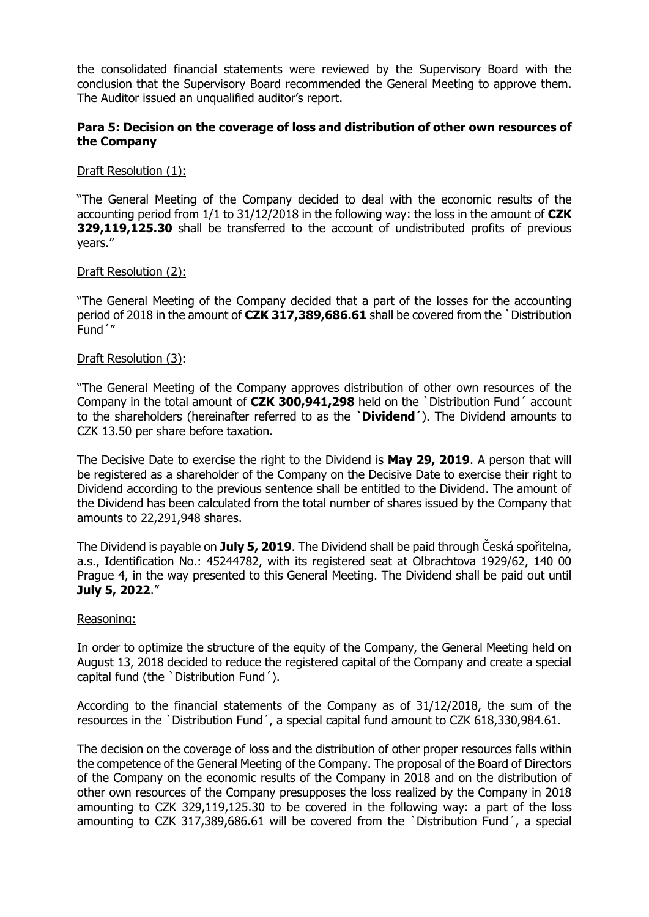the consolidated financial statements were reviewed by the Supervisory Board with the conclusion that the Supervisory Board recommended the General Meeting to approve them. The Auditor issued an unqualified auditor's report.

## **Para 5: Decision on the coverage of loss and distribution of other own resources of the Company**

## Draft Resolution (1):

"The General Meeting of the Company decided to deal with the economic results of the accounting period from 1/1 to 31/12/2018 in the following way: the loss in the amount of **CZK 329,119,125.30** shall be transferred to the account of undistributed profits of previous years."

### Draft Resolution (2):

"The General Meeting of the Company decided that a part of the losses for the accounting period of 2018 in the amount of **CZK 317,389,686.61** shall be covered from the ˋDistribution Fundˊ"

### Draft Resolution (3):

"The General Meeting of the Company approves distribution of other own resources of the Company in the total amount of **CZK 300,941,298** held on the ˋDistribution Fundˊ account to the shareholders (hereinafter referred to as the **ˋDividendˊ**). The Dividend amounts to CZK 13.50 per share before taxation.

The Decisive Date to exercise the right to the Dividend is **May 29, 2019**. A person that will be registered as a shareholder of the Company on the Decisive Date to exercise their right to Dividend according to the previous sentence shall be entitled to the Dividend. The amount of the Dividend has been calculated from the total number of shares issued by the Company that amounts to 22,291,948 shares.

The Dividend is payable on **July 5, 2019**. The Dividend shall be paid through Česká spořitelna, a.s., Identification No.: 45244782, with its registered seat at Olbrachtova 1929/62, 140 00 Prague 4, in the way presented to this General Meeting. The Dividend shall be paid out until **July 5, 2022**."

### Reasoning:

In order to optimize the structure of the equity of the Company, the General Meeting held on August 13, 2018 decided to reduce the registered capital of the Company and create a special capital fund (the ˋDistribution Fundˊ).

According to the financial statements of the Company as of 31/12/2018, the sum of the resources in the ˋDistribution Fundˊ, a special capital fund amount to CZK 618,330,984.61.

The decision on the coverage of loss and the distribution of other proper resources falls within the competence of the General Meeting of the Company. The proposal of the Board of Directors of the Company on the economic results of the Company in 2018 and on the distribution of other own resources of the Company presupposes the loss realized by the Company in 2018 amounting to CZK 329,119,125.30 to be covered in the following way: a part of the loss amounting to CZK 317,389,686.61 will be covered from the ˋDistribution Fundˊ, a special